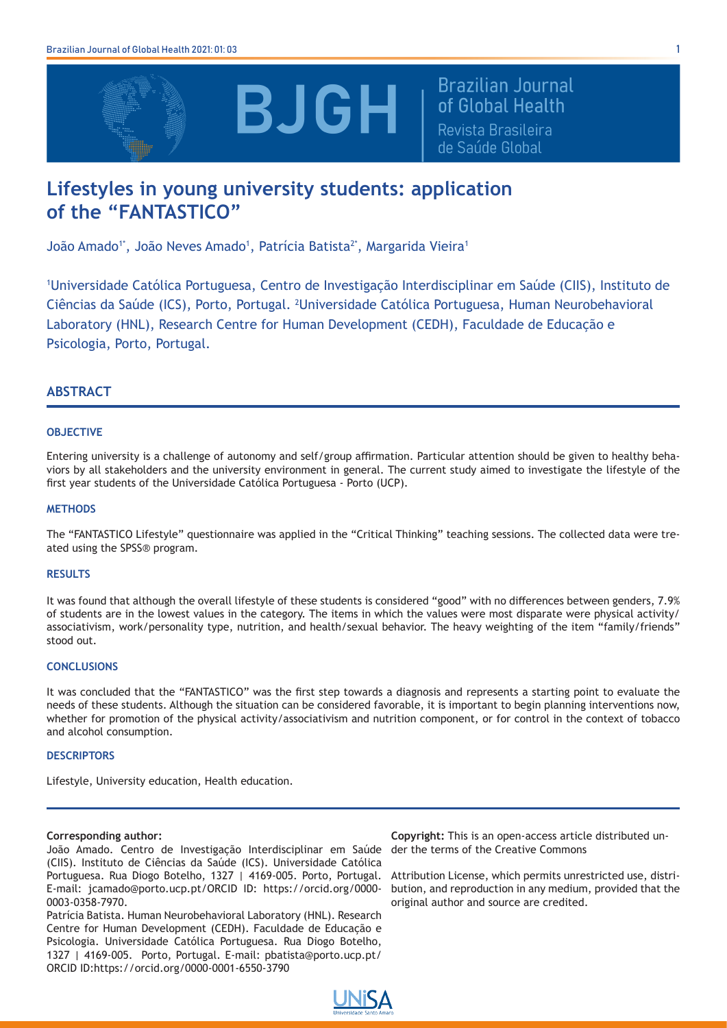

**Brazilian Journal** of Global Health Revista Brasileira de Saúde Global

# **Lifestyles in young university students: application of the "FANTASTICO"**

João Amado<sup>1\*</sup>, João Neves Amado<sup>1</sup>, Patrícia Batista<sup>2\*</sup>, Margarida Vieira<sup>1</sup>

1 Universidade Católica Portuguesa, Centro de Investigação Interdisciplinar em Saúde (CIIS), Instituto de Ciências da Saúde (ICS), Porto, Portugal. <sup>2</sup>Universidade Católica Portuguesa, Human Neurobehavioral Laboratory (HNL), Research Centre for Human Development (CEDH), Faculdade de Educação e Psicologia, Porto, Portugal.

## **ABSTRACT**

## **OBJECTIVE**

Entering university is a challenge of autonomy and self/group affirmation. Particular attention should be given to healthy behaviors by all stakeholders and the university environment in general. The current study aimed to investigate the lifestyle of the first year students of the Universidade Católica Portuguesa - Porto (UCP).

## **METHODS**

The "FANTASTICO Lifestyle" questionnaire was applied in the "Critical Thinking" teaching sessions. The collected data were treated using the SPSS® program.

## **RESULTS**

It was found that although the overall lifestyle of these students is considered "good" with no differences between genders, 7.9% of students are in the lowest values in the category. The items in which the values were most disparate were physical activity/ associativism, work/personality type, nutrition, and health/sexual behavior. The heavy weighting of the item "family/friends" stood out.

## **CONCLUSIONS**

It was concluded that the "FANTASTICO" was the first step towards a diagnosis and represents a starting point to evaluate the needs of these students. Although the situation can be considered favorable, it is important to begin planning interventions now, whether for promotion of the physical activity/associativism and nutrition component, or for control in the context of tobacco and alcohol consumption.

## **DESCRIPTORS**

Lifestyle, University education, Health education.

## **Corresponding author:**

João Amado. Centro de Investigação Interdisciplinar em Saúde (CIIS). Instituto de Ciências da Saúde (ICS). Universidade Católica Portuguesa. Rua Diogo Botelho, 1327 | 4169-005. Porto, Portugal. E-mail: jcamado@porto.ucp.pt/ORCID ID: https://orcid.org/0000- 0003-0358-7970.

Patrícia Batista. Human Neurobehavioral Laboratory (HNL). Research Centre for Human Development (CEDH). Faculdade de Educação e Psicologia. Universidade Católica Portuguesa. Rua Diogo Botelho, 1327 | 4169-005. Porto, Portugal. E-mail: pbatista@porto.ucp.pt/ ORCID ID:https://orcid.org/0000-0001-6550-3790

**Copyright:** This is an open-access article distributed under the terms of the Creative Commons

Attribution License, which permits unrestricted use, distribution, and reproduction in any medium, provided that the original author and source are credited.

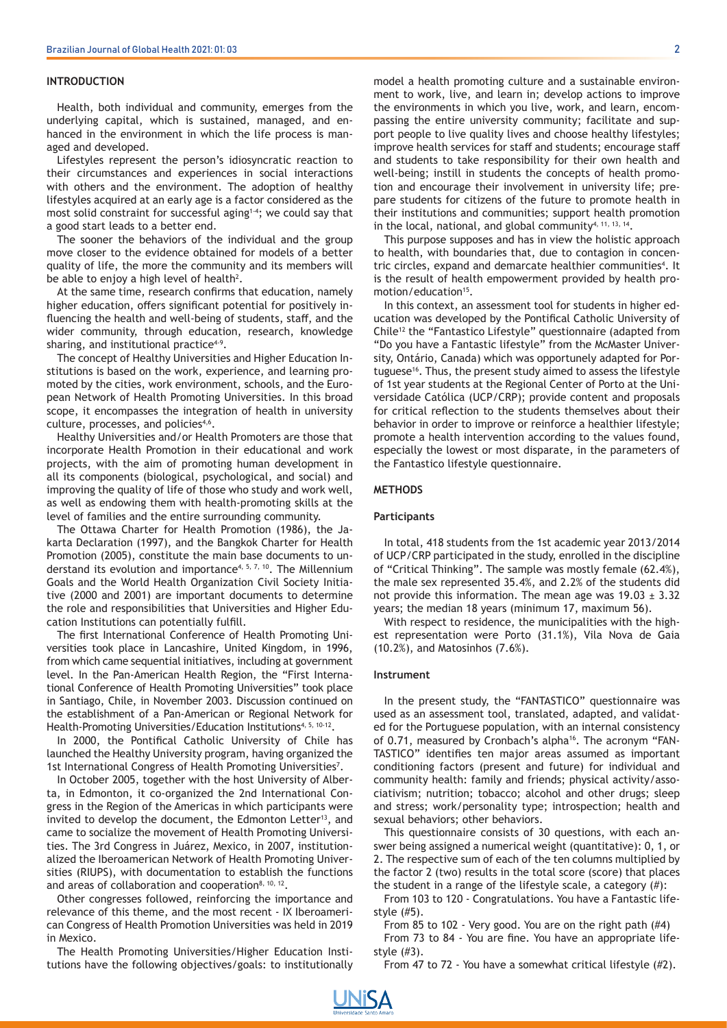#### **INTRODUCTION**

Health, both individual and community, emerges from the underlying capital, which is sustained, managed, and enhanced in the environment in which the life process is managed and developed.

Lifestyles represent the person's idiosyncratic reaction to their circumstances and experiences in social interactions with others and the environment. The adoption of healthy lifestyles acquired at an early age is a factor considered as the most solid constraint for successful aging<sup>1-4</sup>; we could say that a good start leads to a better end.

The sooner the behaviors of the individual and the group move closer to the evidence obtained for models of a better quality of life, the more the community and its members will be able to enjoy a high level of health<sup>2</sup>.

At the same time, research confirms that education, namely higher education, offers significant potential for positively influencing the health and well-being of students, staff, and the wider community, through education, research, knowledge sharing, and institutional practice<sup>4-9</sup>.

The concept of Healthy Universities and Higher Education Institutions is based on the work, experience, and learning promoted by the cities, work environment, schools, and the European Network of Health Promoting Universities. In this broad scope, it encompasses the integration of health in university culture, processes, and policies<sup>4,6</sup>.

Healthy Universities and/or Health Promoters are those that incorporate Health Promotion in their educational and work projects, with the aim of promoting human development in all its components (biological, psychological, and social) and improving the quality of life of those who study and work well, as well as endowing them with health-promoting skills at the level of families and the entire surrounding community.

The Ottawa Charter for Health Promotion (1986), the Jakarta Declaration (1997), and the Bangkok Charter for Health Promotion (2005), constitute the main base documents to understand its evolution and importance<sup>4, 5, 7, 10</sup>. The Millennium Goals and the World Health Organization Civil Society Initiative (2000 and 2001) are important documents to determine the role and responsibilities that Universities and Higher Education Institutions can potentially fulfill.

The first International Conference of Health Promoting Universities took place in Lancashire, United Kingdom, in 1996, from which came sequential initiatives, including at government level. In the Pan-American Health Region, the "First International Conference of Health Promoting Universities" took place in Santiago, Chile, in November 2003. Discussion continued on the establishment of a Pan-American or Regional Network for Health-Promoting Universities/Education Institutions<sup>4, 5, 10-12</sup>.

In 2000, the Pontifical Catholic University of Chile has launched the Healthy University program, having organized the 1st International Congress of Health Promoting Universities<sup>7</sup>.

In October 2005, together with the host University of Alberta, in Edmonton, it co-organized the 2nd International Congress in the Region of the Americas in which participants were invited to develop the document, the Edmonton Letter<sup>13</sup>, and came to socialize the movement of Health Promoting Universities. The 3rd Congress in Juárez, Mexico, in 2007, institutionalized the Iberoamerican Network of Health Promoting Universities (RIUPS), with documentation to establish the functions and areas of collaboration and cooperation<sup>8, 10, 12</sup>.

Other congresses followed, reinforcing the importance and relevance of this theme, and the most recent - IX Iberoamerican Congress of Health Promotion Universities was held in 2019 in Mexico.

The Health Promoting Universities/Higher Education Institutions have the following objectives/goals: to institutionally model a health promoting culture and a sustainable environment to work, live, and learn in; develop actions to improve the environments in which you live, work, and learn, encompassing the entire university community; facilitate and support people to live quality lives and choose healthy lifestyles; improve health services for staff and students; encourage staff and students to take responsibility for their own health and well-being; instill in students the concepts of health promotion and encourage their involvement in university life; prepare students for citizens of the future to promote health in their institutions and communities; support health promotion in the local, national, and global community<sup>4, 11, 13, 14</sup>.

This purpose supposes and has in view the holistic approach to health, with boundaries that, due to contagion in concentric circles, expand and demarcate healthier communities<sup>4</sup>. It is the result of health empowerment provided by health promotion/education<sup>15</sup>.

In this context, an assessment tool for students in higher education was developed by the Pontifical Catholic University of Chile12 the "Fantastico Lifestyle" questionnaire (adapted from "Do you have a Fantastic lifestyle" from the McMaster University, Ontário, Canada) which was opportunely adapted for Portuguese<sup>16</sup>. Thus, the present study aimed to assess the lifestyle of 1st year students at the Regional Center of Porto at the Universidade Católica (UCP/CRP); provide content and proposals for critical reflection to the students themselves about their behavior in order to improve or reinforce a healthier lifestyle; promote a health intervention according to the values found, especially the lowest or most disparate, in the parameters of the Fantastico lifestyle questionnaire.

## **METHODS**

#### **Participants**

In total, 418 students from the 1st academic year 2013/2014 of UCP/CRP participated in the study, enrolled in the discipline of "Critical Thinking". The sample was mostly female (62.4%), the male sex represented 35.4%, and 2.2% of the students did not provide this information. The mean age was  $19.03 \pm 3.32$ years; the median 18 years (minimum 17, maximum 56).

With respect to residence, the municipalities with the highest representation were Porto (31.1%), Vila Nova de Gaia (10.2%), and Matosinhos (7.6%).

#### **Instrument**

In the present study, the "FANTASTICO" questionnaire was used as an assessment tool, translated, adapted, and validated for the Portuguese population, with an internal consistency of 0.71, measured by Cronbach's alpha<sup>16</sup>. The acronym "FAN-TASTICO" identifies ten major areas assumed as important conditioning factors (present and future) for individual and community health: family and friends; physical activity/associativism; nutrition; tobacco; alcohol and other drugs; sleep and stress; work/personality type; introspection; health and sexual behaviors; other behaviors.

This questionnaire consists of 30 questions, with each answer being assigned a numerical weight (quantitative): 0, 1, or 2. The respective sum of each of the ten columns multiplied by the factor 2 (two) results in the total score (score) that places the student in a range of the lifestyle scale, a category (#):

From 103 to 120 - Congratulations. You have a Fantastic lifestyle (#5).

From 85 to 102 - Very good. You are on the right path (#4) From 73 to 84 - You are fine. You have an appropriate lifestyle (#3).

From 47 to 72 - You have a somewhat critical lifestyle (#2).

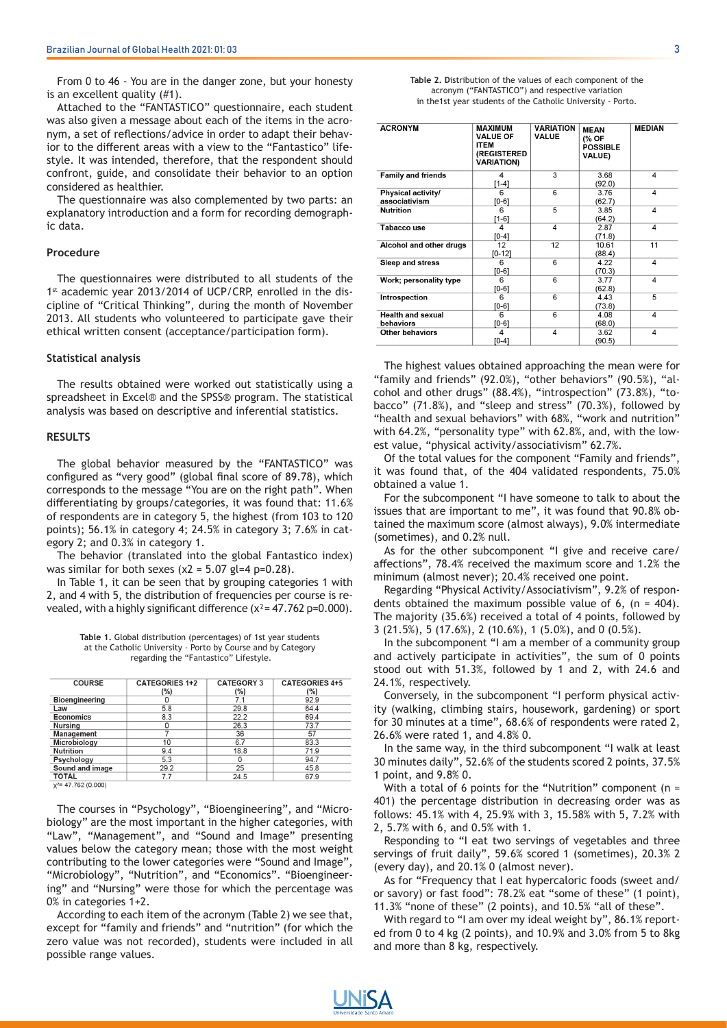From 0 to 46 - You are in the danger zone, but your honesty is an excellent quality (#1).

Attached to the "FANTASTICO" questionnaire, each student was also given a message about each of the items in the acronym, a set of reflections/advice in order to adapt their behavior to the different areas with a view to the "Fantastico" lifestyle. It was intended, therefore, that the respondent should confront, guide, and consolidate their behavior to an option considered as healthier.

The questionnaire was also complemented by two parts: an explanatory introduction and a form for recording demographic data.

## **Procedure**

The questionnaires were distributed to all students of the 1<sup>st</sup> academic year 2013/2014 of UCP/CRP, enrolled in the discipline of "Critical Thinking", during the month of November 2013. All students who volunteered to participate gave their ethical written consent (acceptance/participation form).

#### **Statistical analysis**

The results obtained were worked out statistically using a spreadsheet in Excel® and the SPSS® program. The statistical analysis was based on descriptive and inferential statistics.

#### **RESULTS**

The global behavior measured by the "FANTASTICO" was configured as "very good" (global final score of 89.78), which corresponds to the message "You are on the right path". When differentiating by groups/categories, it was found that: 11.6% of respondents are in category 5, the highest (from 103 to 120 points); 56.1% in category 4; 24.5% in category 3; 7.6% in category 2; and 0.3% in category 1.

The behavior (translated into the global Fantastico index) was similar for both sexes  $(x2 = 5.07$  gl=4 p=0.28).

In Table 1, it can be seen that by grouping categories 1 with 2, and 4 with 5, the distribution of frequencies per course is revealed, with a highly significant difference  $(x^2 = 47.762 \text{ p} = 0.000)$ .

| Table 1. Global distribution (percentages) of 1st year students |
|-----------------------------------------------------------------|
| at the Catholic University - Porto by Course and by Category    |
| regarding the "Fantastico" Lifestyle.                           |

| <b>COURSE</b>          | <b>CATEGORIES 1+2</b> | <b>CATEGORY 3</b> | <b>CATEGORIES 4+5</b> |
|------------------------|-----------------------|-------------------|-----------------------|
|                        | (%)                   | $(\% )$           | (%)                   |
| <b>Bioengineering</b>  |                       | 7.1               | 92.9                  |
| Law                    | 5.8                   | 29.8              | 64.4                  |
| <b>Economics</b>       | 8.3                   | 22.2              | 69.4                  |
| <b>Nursing</b>         |                       | 26.3              | 73.7                  |
| <b>Management</b>      |                       | 36                | 57                    |
| Microbiology           | 10                    | 6.7               | 83.3                  |
| <b>Nutrition</b>       | 9.4                   | 18.8              | 71.9                  |
| Psychology             | 5.3                   | Ω                 | 94.7                  |
| Sound and image        | 29.2                  | 25                | 45.8                  |
| <b>TOTAL</b>           | 7.7                   | 24.5              | 67.9                  |
| $x^2$ = 47.762 (0.000) |                       |                   |                       |

The courses in "Psychology", "Bioengineering", and "Microbiology" are the most important in the higher categories, with "Law", "Management", and "Sound and Image" presenting values below the category mean; those with the most weight contributing to the lower categories were "Sound and Image", "Microbiology", "Nutrition", and "Economics". "Bioengineering" and "Nursing" were those for which the percentage was 0% in categories 1+2.

According to each item of the acronym (Table 2) we see that, except for "family and friends" and "nutrition" (for which the zero value was not recorded), students were included in all possible range values.

| Table 2. Distribution of the values of each component of the |
|--------------------------------------------------------------|
| acronym ("FANTASTICO") and respective variation              |

| <b>ACRONYM</b>            | <b>MAXIMUM</b><br><b>VALUE OF</b><br><b>ITFM</b><br>(REGISTERED<br><b>VARIATION)</b> | <b>VARIATION</b><br><b>VALUE</b> | <b>MEAN</b><br>(% OF<br><b>POSSIBLE</b><br><b>VALUE)</b> | <b>MEDIAN</b>  |
|---------------------------|--------------------------------------------------------------------------------------|----------------------------------|----------------------------------------------------------|----------------|
| <b>Family and friends</b> | 4                                                                                    | 3                                | 3.68                                                     | $\overline{4}$ |
|                           | [1-4]                                                                                |                                  | (92.0)                                                   |                |
| Physical activity/        | 6                                                                                    | $\overline{6}$                   | 3.76                                                     | 4              |
| associativism             | $[0-6]$                                                                              |                                  | (62.7)                                                   |                |
| <b>Nutrition</b>          | 6                                                                                    | 5                                | 3.85                                                     | 4              |
|                           | [1-6]                                                                                |                                  | (64.2)                                                   |                |
| Tabacco use               | 4                                                                                    | 4                                | 2.87                                                     | 4              |
|                           | [0-4]                                                                                |                                  | (71.8)                                                   |                |
| Alcohol and other drugs   | 12                                                                                   | 12                               | 10.61                                                    | 11             |
|                           | $[0-12]$                                                                             |                                  | (88.4)                                                   |                |
| Sleep and stress          | 6                                                                                    | 6                                | 4.22                                                     | 4              |
|                           | [0-6]                                                                                |                                  | (70.3)                                                   |                |
| Work; personality type    | 6                                                                                    | 6                                | 3.77                                                     | 4              |
|                           | $[0-6]$                                                                              |                                  | (62.8)                                                   |                |
| Introspection             | 6                                                                                    | 6                                | 4.43                                                     | 5              |
|                           | [0-6]                                                                                |                                  | (73.8)                                                   |                |
| <b>Health and sexual</b>  | 6                                                                                    | 6                                | 4.08                                                     | 4              |
| behaviors                 | $[0-6]$                                                                              |                                  | (68.0)                                                   |                |
| <b>Other behaviors</b>    | 4                                                                                    | 4                                | 3.62                                                     | 4              |
|                           | $[0-4]$                                                                              |                                  | (90.5)                                                   |                |

in the1st year students of the Catholic University - Porto.

The highest values obtained approaching the mean were for "family and friends" (92.0%), "other behaviors" (90.5%), "alcohol and other drugs" (88.4%), "introspection" (73.8%), "tobacco" (71.8%), and "sleep and stress" (70.3%), followed by "health and sexual behaviors" with 68%, "work and nutrition" with 64.2%, "personality type" with 62.8%, and, with the lowest value, "physical activity/associativism" 62.7%.

Of the total values for the component "Family and friends", it was found that, of the 404 validated respondents, 75.0% obtained a value 1.

For the subcomponent "I have someone to talk to about the issues that are important to me", it was found that 90.8% obtained the maximum score (almost always), 9.0% intermediate (sometimes), and 0.2% null.

As for the other subcomponent "I give and receive care/ affections", 78.4% received the maximum score and 1.2% the minimum (almost never); 20.4% received one point.

Regarding "Physical Activity/Associativism", 9.2% of respondents obtained the maximum possible value of 6,  $(n = 404)$ . The majority (35.6%) received a total of 4 points, followed by 3 (21.5%), 5 (17.6%), 2 (10.6%), 1 (5.0%), and 0 (0.5%).

In the subcomponent "I am a member of a community group and actively participate in activities", the sum of 0 points stood out with 51.3%, followed by 1 and 2, with 24.6 and 24.1%, respectively.

Conversely, in the subcomponent "I perform physical activity (walking, climbing stairs, housework, gardening) or sport for 30 minutes at a time", 68.6% of respondents were rated 2, 26.6% were rated 1, and 4.8% 0.

In the same way, in the third subcomponent "I walk at least 30 minutes daily", 52.6% of the students scored 2 points, 37.5% 1 point, and 9.8% 0.

With a total of 6 points for the "Nutrition" component (n = 401) the percentage distribution in decreasing order was as follows: 45.1% with 4, 25.9% with 3, 15.58% with 5, 7.2% with 2, 5.7% with 6, and 0.5% with 1.

Responding to "I eat two servings of vegetables and three servings of fruit daily", 59.6% scored 1 (sometimes), 20.3% 2 (every day), and 20.1% 0 (almost never).

As for "Frequency that I eat hypercaloric foods (sweet and/ or savory) or fast food": 78.2% eat "some of these" (1 point), 11.3% "none of these" (2 points), and 10.5% "all of these".

With regard to "I am over my ideal weight by", 86.1% reported from 0 to 4 kg (2 points), and 10.9% and 3.0% from 5 to 8kg and more than 8 kg, respectively.

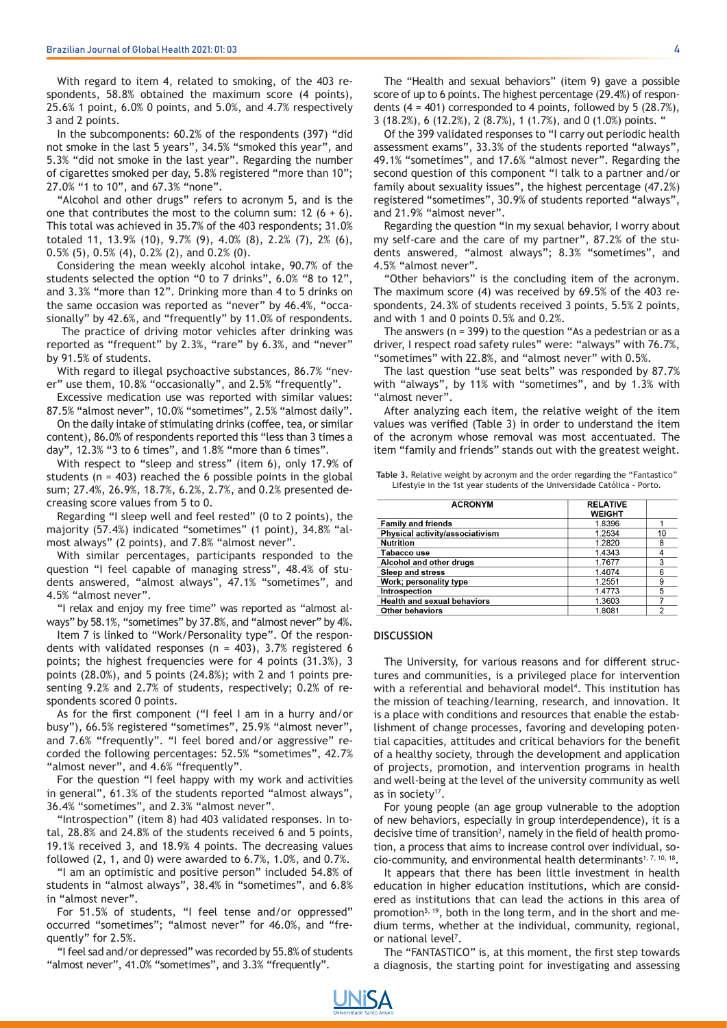With regard to item 4, related to smoking, of the 403 respondents, 58.8% obtained the maximum score (4 points), 25.6% 1 point, 6.0% 0 points, and 5.0%, and 4.7% respectively 3 and 2 points.

In the subcomponents: 60.2% of the respondents (397) "did not smoke in the last 5 years", 34.5% "smoked this year", and 5.3% "did not smoke in the last year". Regarding the number of cigarettes smoked per day, 5.8% registered "more than 10"; 27.0% "1 to 10", and 67.3% "none".

"Alcohol and other drugs" refers to acronym 5, and is the one that contributes the most to the column sum:  $12$  (6 + 6). This total was achieved in 35.7% of the 403 respondents; 31.0% totaled 11, 13.9% (10), 9.7% (9), 4.0% (8), 2.2% (7), 2% (6),  $0.5\%$  (5),  $0.5\%$  (4),  $0.2\%$  (2), and  $0.2\%$  (0).

Considering the mean weekly alcohol intake, 90.7% of the students selected the option "0 to 7 drinks", 6.0% "8 to 12", and 3.3% "more than 12". Drinking more than 4 to 5 drinks on the same occasion was reported as "never" by 46.4%, "occasionally" by 42.6%, and "frequently" by 11.0% of respondents.

 The practice of driving motor vehicles after drinking was reported as "frequent" by 2.3%, "rare" by 6.3%, and "never" by 91.5% of students.

With regard to illegal psychoactive substances, 86.7% "never" use them, 10.8% "occasionally", and 2.5% "frequently".

Excessive medication use was reported with similar values: 87.5% "almost never", 10.0% "sometimes", 2.5% "almost daily".

On the daily intake of stimulating drinks (coffee, tea, or similar content), 86.0% of respondents reported this "less than 3 times a day", 12.3% "3 to 6 times", and 1.8% "more than 6 times".

With respect to "sleep and stress" (item 6), only 17.9% of students ( $n = 403$ ) reached the 6 possible points in the global sum; 27.4%, 26.9%, 18.7%, 6.2%, 2.7%, and 0.2% presented decreasing score values from 5 to 0.

Regarding "I sleep well and feel rested" (0 to 2 points), the majority (57.4%) indicated "sometimes" (1 point), 34.8% "almost always" (2 points), and 7.8% "almost never".

With similar percentages, participants responded to the question "I feel capable of managing stress", 48.4% of students answered, "almost always", 47.1% "sometimes", and 4.5% "almost never".

"I relax and enjoy my free time" was reported as "almost always" by 58.1%, "sometimes" by 37.8%, and "almost never" by 4%.

Item 7 is linked to "Work/Personality type". Of the respondents with validated responses ( $n = 403$ ), 3.7% registered 6 points; the highest frequencies were for 4 points (31.3%), 3 points (28.0%), and 5 points (24.8%); with 2 and 1 points presenting 9.2% and 2.7% of students, respectively; 0.2% of respondents scored 0 points.

As for the first component ("I feel I am in a hurry and/or busy"), 66.5% registered "sometimes", 25.9% "almost never", and 7.6% "frequently". "I feel bored and/or aggressive" recorded the following percentages: 52.5% "sometimes", 42.7% "almost never", and 4.6% "frequently".

For the question "I feel happy with my work and activities in general", 61.3% of the students reported "almost always", 36.4% "sometimes", and 2.3% "almost never".

"Introspection" (item 8) had 403 validated responses. In total, 28.8% and 24.8% of the students received 6 and 5 points, 19.1% received 3, and 18.9% 4 points. The decreasing values followed (2, 1, and 0) were awarded to 6.7%, 1.0%, and 0.7%.

"I am an optimistic and positive person" included 54.8% of students in "almost always", 38.4% in "sometimes", and 6.8% in "almost never".

For 51.5% of students, "I feel tense and/or oppressed" occurred "sometimes"; "almost never" for 46.0%, and "frequently" for 2.5%.

"I feel sad and/or depressed" was recorded by 55.8% of students "almost never", 41.0% "sometimes", and 3.3% "frequently".

The "Health and sexual behaviors" (item 9) gave a possible score of up to 6 points. The highest percentage (29.4%) of respondents  $(4 = 401)$  corresponded to 4 points, followed by 5  $(28.7\%)$ , 3 (18.2%), 6 (12.2%), 2 (8.7%), 1 (1.7%), and 0 (1.0%) points. "

Of the 399 validated responses to "I carry out periodic health assessment exams", 33.3% of the students reported "always", 49.1% "sometimes", and 17.6% "almost never". Regarding the second question of this component "I talk to a partner and/or family about sexuality issues", the highest percentage (47.2%) registered "sometimes", 30.9% of students reported "always", and 21.9% "almost never".

Regarding the question "In my sexual behavior, I worry about my self-care and the care of my partner", 87.2% of the students answered, "almost always"; 8.3% "sometimes", and 4.5% "almost never".

"Other behaviors" is the concluding item of the acronym. The maximum score (4) was received by 69.5% of the 403 respondents, 24.3% of students received 3 points, 5.5% 2 points, and with 1 and 0 points 0.5% and 0.2%.

The answers ( $n = 399$ ) to the question "As a pedestrian or as a driver, I respect road safety rules" were: "always" with 76.7%, "sometimes" with 22.8%, and "almost never" with 0.5%.

The last question "use seat belts" was responded by 87.7% with "always", by 11% with "sometimes", and by 1.3% with "almost never".

After analyzing each item, the relative weight of the item values was verified (Table 3) in order to understand the item of the acronym whose removal was most accentuated. The item "family and friends" stands out with the greatest weight.

**Table 3.** Relative weight by acronym and the order regarding the "Fantastico" Lifestyle in the 1st year students of the Universidade Católica - Porto.

| <b>ACRONYM</b>                     | <b>RELATIVE</b><br><b>WEIGHT</b> |                |
|------------------------------------|----------------------------------|----------------|
| <b>Family and friends</b>          | 1.8396                           |                |
| Physical activity/associativism    | 1.2534                           | 10             |
| <b>Nutrition</b>                   | 1.2820                           | 8              |
| Tabacco use                        | 1.4343                           | 4              |
| Alcohol and other drugs            | 1.7677                           | 3              |
| Sleep and stress                   | 1.4074                           | 6              |
| Work; personality type             | 1.2551                           | 9              |
| Introspection                      | 1.4773                           | 5              |
| <b>Health and sexual behaviors</b> | 1.3603                           |                |
| <b>Other behaviors</b>             | 1.8081                           | $\overline{2}$ |

#### **DISCUSSION**

The University, for various reasons and for different structures and communities, is a privileged place for intervention with a referential and behavioral model<sup>4</sup>. This institution has the mission of teaching/learning, research, and innovation. It is a place with conditions and resources that enable the establishment of change processes, favoring and developing potential capacities, attitudes and critical behaviors for the benefit of a healthy society, through the development and application of projects, promotion, and intervention programs in health and well-being at the level of the university community as well as in society<sup>17</sup>.

For young people (an age group vulnerable to the adoption of new behaviors, especially in group interdependence), it is a decisive time of transition<sup>2</sup>, namely in the field of health promotion, a process that aims to increase control over individual, socio-community, and environmental health determinants<sup>1, 7, 10, 18</sup>.

It appears that there has been little investment in health education in higher education institutions, which are considered as institutions that can lead the actions in this area of promotion<sup>5, 19</sup>, both in the long term, and in the short and medium terms, whether at the individual, community, regional, or national level<sup>7</sup>.

The "FANTASTICO" is, at this moment, the first step towards a diagnosis, the starting point for investigating and assessing

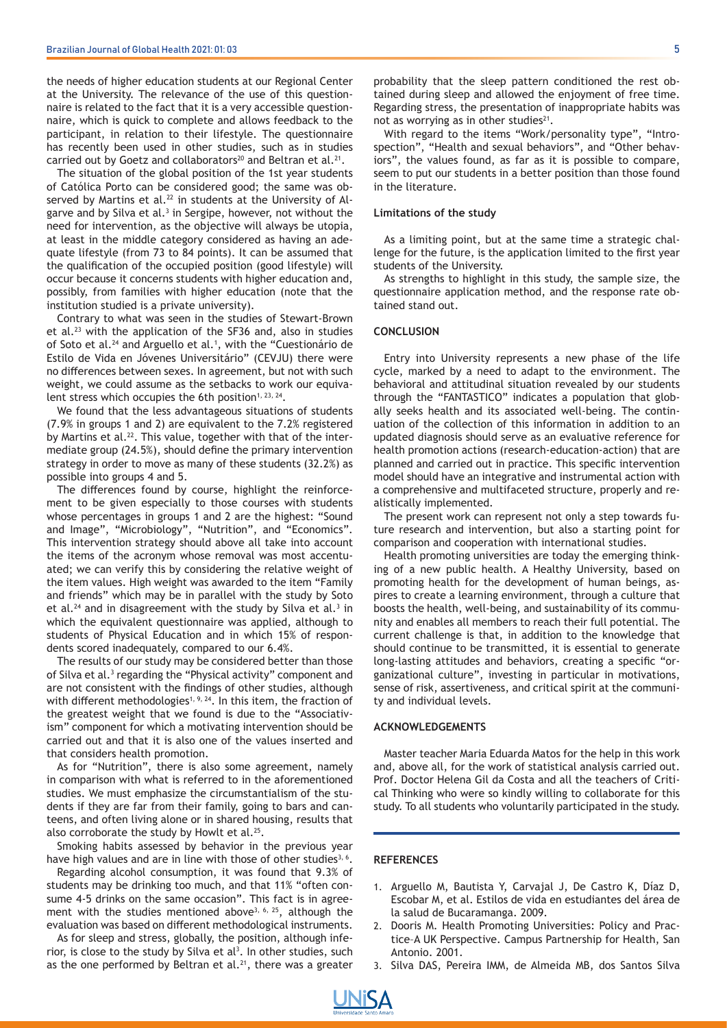the needs of higher education students at our Regional Center at the University. The relevance of the use of this questionnaire is related to the fact that it is a very accessible questionnaire, which is quick to complete and allows feedback to the participant, in relation to their lifestyle. The questionnaire has recently been used in other studies, such as in studies carried out by Goetz and collaborators<sup>20</sup> and Beltran et al.<sup>21</sup>.

The situation of the global position of the 1st year students of Católica Porto can be considered good; the same was observed by Martins et al.<sup>22</sup> in students at the University of Algarve and by Silva et al.<sup>3</sup> in Sergipe, however, not without the need for intervention, as the objective will always be utopia, at least in the middle category considered as having an adequate lifestyle (from 73 to 84 points). It can be assumed that the qualification of the occupied position (good lifestyle) will occur because it concerns students with higher education and, possibly, from families with higher education (note that the institution studied is a private university).

Contrary to what was seen in the studies of Stewart-Brown et al.23 with the application of the SF36 and, also in studies of Soto et al.<sup>24</sup> and Arguello et al.<sup>1</sup>, with the "Cuestionário de Estilo de Vida en Jóvenes Universitário" (CEVJU) there were no differences between sexes. In agreement, but not with such weight, we could assume as the setbacks to work our equivalent stress which occupies the 6th position<sup>1, 23, 24</sup>.

We found that the less advantageous situations of students (7.9% in groups 1 and 2) are equivalent to the 7.2% registered by Martins et al.<sup>22</sup>. This value, together with that of the intermediate group (24.5%), should define the primary intervention strategy in order to move as many of these students (32.2%) as possible into groups 4 and 5.

The differences found by course, highlight the reinforcement to be given especially to those courses with students whose percentages in groups 1 and 2 are the highest: "Sound and Image", "Microbiology", "Nutrition", and "Economics". This intervention strategy should above all take into account the items of the acronym whose removal was most accentuated; we can verify this by considering the relative weight of the item values. High weight was awarded to the item "Family and friends" which may be in parallel with the study by Soto et al.<sup>24</sup> and in disagreement with the study by Silva et al.<sup>3</sup> in which the equivalent questionnaire was applied, although to students of Physical Education and in which 15% of respondents scored inadequately, compared to our 6.4%.

The results of our study may be considered better than those of Silva et al.<sup>3</sup> regarding the "Physical activity" component and are not consistent with the findings of other studies, although with different methodologies<sup>1, 9, 24</sup>. In this item, the fraction of the greatest weight that we found is due to the "Associativism" component for which a motivating intervention should be carried out and that it is also one of the values inserted and that considers health promotion.

As for "Nutrition", there is also some agreement, namely in comparison with what is referred to in the aforementioned studies. We must emphasize the circumstantialism of the students if they are far from their family, going to bars and canteens, and often living alone or in shared housing, results that also corroborate the study by Howlt et al.<sup>25</sup>.

Smoking habits assessed by behavior in the previous year have high values and are in line with those of other studies<sup>3, 6</sup>.

Regarding alcohol consumption, it was found that 9.3% of students may be drinking too much, and that 11% "often consume 4-5 drinks on the same occasion". This fact is in agreement with the studies mentioned above<sup>3, 6, 25</sup>, although the evaluation was based on different methodological instruments.

As for sleep and stress, globally, the position, although inferior, is close to the study by Silva et  $al<sup>3</sup>$ . In other studies, such as the one performed by Beltran et al. $^{21}$ , there was a greater

probability that the sleep pattern conditioned the rest obtained during sleep and allowed the enjoyment of free time. Regarding stress, the presentation of inappropriate habits was not as worrying as in other studies $21$ .

With regard to the items "Work/personality type", "Introspection", "Health and sexual behaviors", and "Other behaviors", the values found, as far as it is possible to compare, seem to put our students in a better position than those found in the literature.

## **Limitations of the study**

As a limiting point, but at the same time a strategic challenge for the future, is the application limited to the first year students of the University.

As strengths to highlight in this study, the sample size, the questionnaire application method, and the response rate obtained stand out.

## **CONCLUSION**

Entry into University represents a new phase of the life cycle, marked by a need to adapt to the environment. The behavioral and attitudinal situation revealed by our students through the "FANTASTICO" indicates a population that globally seeks health and its associated well-being. The continuation of the collection of this information in addition to an updated diagnosis should serve as an evaluative reference for health promotion actions (research-education-action) that are planned and carried out in practice. This specific intervention model should have an integrative and instrumental action with a comprehensive and multifaceted structure, properly and realistically implemented.

The present work can represent not only a step towards future research and intervention, but also a starting point for comparison and cooperation with international studies.

Health promoting universities are today the emerging thinking of a new public health. A Healthy University, based on promoting health for the development of human beings, aspires to create a learning environment, through a culture that boosts the health, well-being, and sustainability of its community and enables all members to reach their full potential. The current challenge is that, in addition to the knowledge that should continue to be transmitted, it is essential to generate long-lasting attitudes and behaviors, creating a specific "organizational culture", investing in particular in motivations, sense of risk, assertiveness, and critical spirit at the community and individual levels.

## **ACKNOWLEDGEMENTS**

Master teacher Maria Eduarda Matos for the help in this work and, above all, for the work of statistical analysis carried out. Prof. Doctor Helena Gil da Costa and all the teachers of Critical Thinking who were so kindly willing to collaborate for this study. To all students who voluntarily participated in the study.

#### **REFERENCES**

- 1. Arguello M, Bautista Y, Carvajal J, De Castro K, Díaz D, Escobar M, et al. Estilos de vida en estudiantes del área de la salud de Bucaramanga. 2009.
- 2. Dooris M. Health Promoting Universities: Policy and Practice–A UK Perspective. Campus Partnership for Health, San Antonio. 2001.
- 3. Silva DAS, Pereira IMM, de Almeida MB, dos Santos Silva